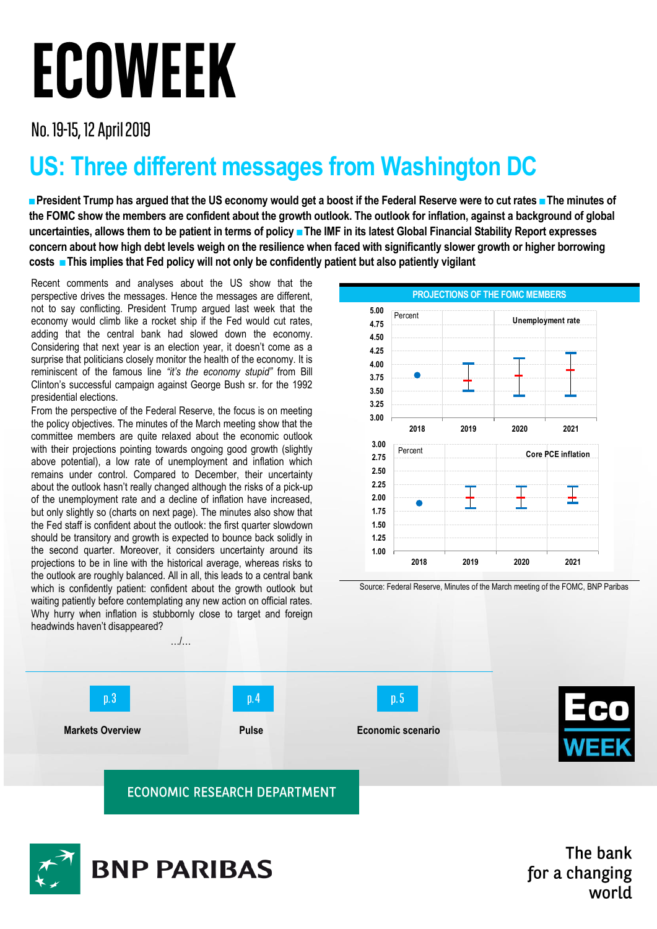# ECOWEEK

No. 19-15, 12 April 2019

# **US: Three different messages from Washington DC**

**■President Trump has argued that the US economy would get a boost if the Federal Reserve were to cut rates ■The minutes of the FOMC show the members are confident about the growth outlook. The outlook for inflation, against a background of global uncertainties, allows them to be patient in terms of policy ■The IMF in its latest Global Financial Stability Report expresses concern about how high debt levels weigh on the resilience when faced with significantly slower growth or higher borrowing costs ■This implies that Fed policy will not only be confidently patient but also patiently vigilant**

Recent comments and analyses about the US show that the perspective drives the messages. Hence the messages are different, not to say conflicting. President Trump argued last week that the economy would climb like a rocket ship if the Fed would cut rates, adding that the central bank had slowed down the economy. Considering that next year is an election year, it doesn't come as a surprise that politicians closely monitor the health of the economy. It is reminiscent of the famous line *"it's the economy stupid"* from Bill Clinton's successful campaign against George Bush sr. for the 1992 presidential elections.

From the perspective of the Federal Reserve, the focus is on meeting the policy objectives. The minutes of the March meeting show that the committee members are quite relaxed about the economic outlook with their projections pointing towards ongoing good growth (slightly above potential), a low rate of unemployment and inflation which remains under control. Compared to December, their uncertainty about the outlook hasn't really changed although the risks of a pick-up of the unemployment rate and a decline of inflation have increased, but only slightly so (charts on next page). The minutes also show that the Fed staff is confident about the outlook: the first quarter slowdown should be transitory and growth is expected to bounce back solidly in the second quarter. Moreover, it considers uncertainty around its projections to be in line with the historical average, whereas risks to the outlook are roughly balanced. All in all, this leads to a central bank which is confidently patient: confident about the growth outlook but waiting patiently before contemplating any new action on official rates. Why hurry when inflation is stubbornly close to target and foreign headwinds haven't disappeared?



Source: Federal Reserve, Minutes of the March meeting of the FOMC, BNP Paribas





The bank for a changing world